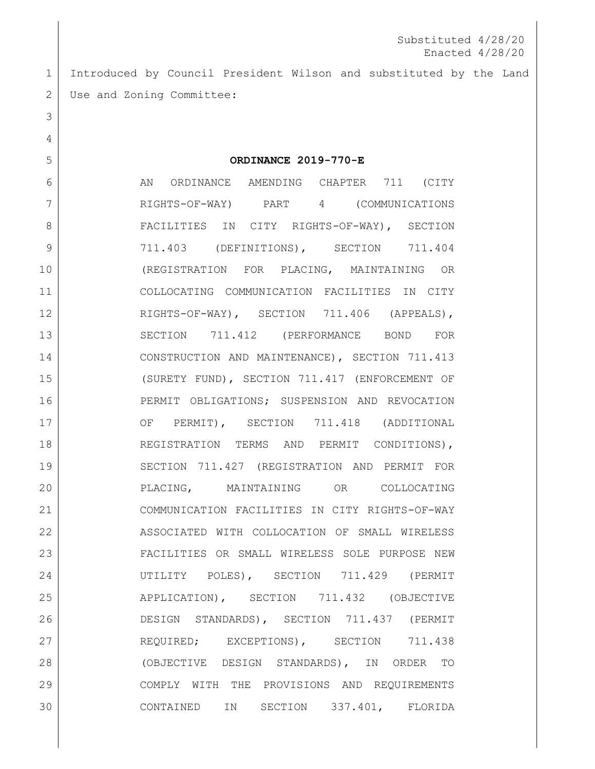Introduced by Council President Wilson and substituted by the Land 2 Use and Zoning Committee:

**ORDINANCE 2019-770-E**

6 AN ORDINANCE AMENDING CHAPTER 711 (CITY RIGHTS-OF-WAY) PART 4 (COMMUNICATIONS 8 | FACILITIES IN CITY RIGHTS-OF-WAY), SECTION 9 711.403 (DEFINITIONS), SECTION 711.404 (REGISTRATION FOR PLACING, MAINTAINING OR COLLOCATING COMMUNICATION FACILITIES IN CITY 12 RIGHTS-OF-WAY), SECTION 711.406 (APPEALS), SECTION 711.412 (PERFORMANCE BOND FOR CONSTRUCTION AND MAINTENANCE), SECTION 711.413 (SURETY FUND), SECTION 711.417 (ENFORCEMENT OF PERMIT OBLIGATIONS; SUSPENSION AND REVOCATION 17 OF PERMIT), SECTION 711.418 (ADDITIONAL 18 REGISTRATION TERMS AND PERMIT CONDITIONS), 19 SECTION 711.427 (REGISTRATION AND PERMIT FOR PLACING, MAINTAINING OR COLLOCATING COMMUNICATION FACILITIES IN CITY RIGHTS-OF-WAY ASSOCIATED WITH COLLOCATION OF SMALL WIRELESS FACILITIES OR SMALL WIRELESS SOLE PURPOSE NEW UTILITY POLES), SECTION 711.429 (PERMIT 25 APPLICATION), SECTION 711.432 (OBJECTIVE DESIGN STANDARDS), SECTION 711.437 (PERMIT 27 REQUIRED; EXCEPTIONS), SECTION 711.438 (OBJECTIVE DESIGN STANDARDS), IN ORDER TO COMPLY WITH THE PROVISIONS AND REQUIREMENTS CONTAINED IN SECTION 337.401, FLORIDA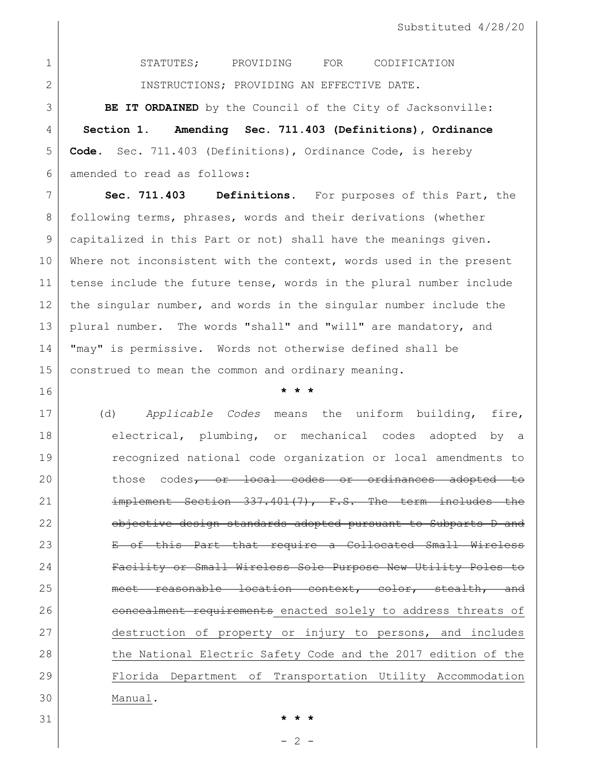STATUTES; PROVIDING FOR CODIFICATION INSTRUCTIONS; PROVIDING AN EFFECTIVE DATE.

 **BE IT ORDAINED** by the Council of the City of Jacksonville: **Section 1. Amending Sec. 711.403 (Definitions), Ordinance Code.** Sec. 711.403 (Definitions), Ordinance Code, is hereby amended to read as follows:

 **Sec. 711.403 Definitions.** For purposes of this Part, the following terms, phrases, words and their derivations (whether capitalized in this Part or not) shall have the meanings given. 10 Where not inconsistent with the context, words used in the present tense include the future tense, words in the plural number include 12 the singular number, and words in the singular number include the plural number. The words "shall" and "will" are mandatory, and "may" is permissive. Words not otherwise defined shall be construed to mean the common and ordinary meaning.

**\* \* \***

 (d) *Applicable Codes* means the uniform building, fire, 18 electrical, plumbing, or mechanical codes adopted by a recognized national code organization or local amendments to 20 those codes<del>, or local codes or ordinances adopted to</del> 21 implement Section 337.401(7), F.S. The term includes the **objective design standards adopted pursuant to Subparts D and**  E of this Part that require a Collocated Small Wireless Facility or Small Wireless Sole Purpose New Utility Poles to meet reasonable location context, color, stealth, and 26 concealment requirements enacted solely to address threats of destruction of property or injury to persons, and includes 28 the National Electric Safety Code and the 2017 edition of the Florida Department of Transportation Utility Accommodation Manual.

- 2 -

**\* \* \***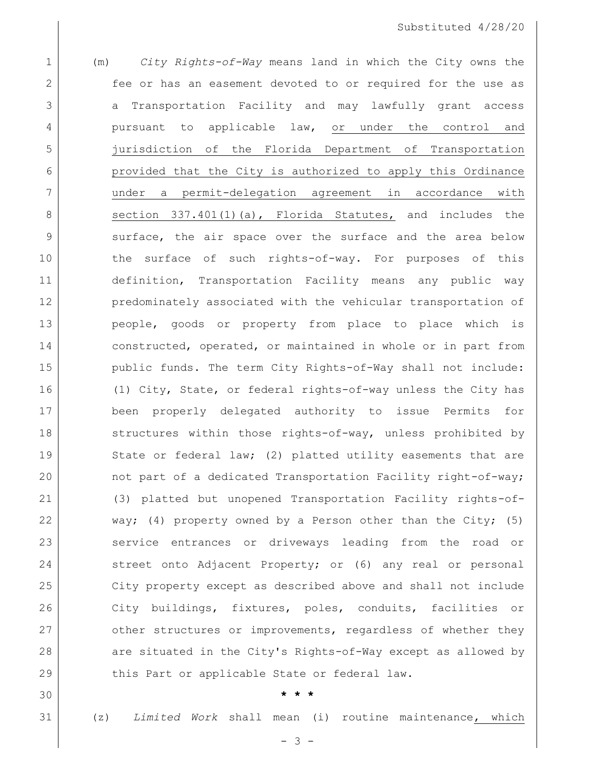1 (m) *City Rights-of-Way* means land in which the City owns the 2 **fee or has an easement devoted to or required for the use as** 3 a Transportation Facility and may lawfully grant access 4 pursuant to applicable law, or under the control and 5 jurisdiction of the Florida Department of Transportation 6 **provided that the City is authorized to apply this Ordinance** 7 under a permit-delegation agreement in accordance with 8 Section 337.401(1)(a), Florida Statutes, and includes the 9 | surface, the air space over the surface and the area below 10 10 the surface of such rights-of-way. For purposes of this 11 definition, Transportation Facility means any public way 12 predominately associated with the vehicular transportation of 13 people, goods or property from place to place which is 14 constructed, operated, or maintained in whole or in part from 15 | public funds. The term City Rights-of-Way shall not include: 16 (1) City, State, or federal rights-of-way unless the City has 17 been properly delegated authority to issue Permits for 18 structures within those rights-of-way, unless prohibited by 19 State or federal law; (2) platted utility easements that are 20 not part of a dedicated Transportation Facility right-of-way; 21 (3) platted but unopened Transportation Facility rights-of-22 way; (4) property owned by a Person other than the City; (5) 23 service entrances or driveways leading from the road or 24 street onto Adjacent Property; or (6) any real or personal 25 City property except as described above and shall not include 26 City buildings, fixtures, poles, conduits, facilities or 27 other structures or improvements, regardless of whether they 28 are situated in the City's Rights-of-Way except as allowed by 29 this Part or applicable State or federal law.

30 **\* \* \***

31 (z) *Limited Work* shall mean (i) routine maintenance, which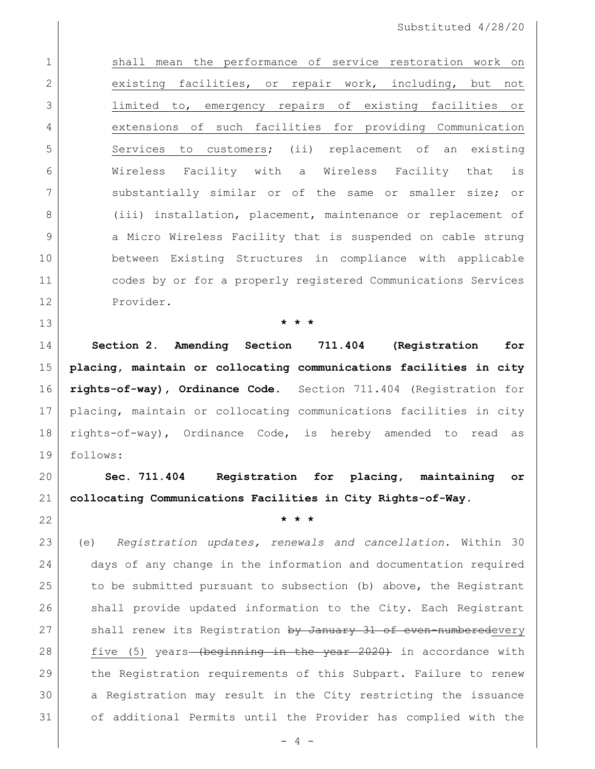1 shall mean the performance of service restoration work on 2 existing facilities, or repair work, including, but not limited to, emergency repairs of existing facilities or extensions of such facilities for providing Communication 5 Services to customers; (ii) replacement of an existing Wireless Facility with a Wireless Facility that is 7 | Substantially similar or of the same or smaller size; or 8 (iii) installation, placement, maintenance or replacement of 9 a Micro Wireless Facility that is suspended on cable strung between Existing Structures in compliance with applicable codes by or for a properly registered Communications Services Provider.

**\* \* \***

 **Section 2. Amending Section 711.404 (Registration for placing, maintain or collocating communications facilities in city rights-of-way), Ordinance Code.** Section 711.404 (Registration for placing, maintain or collocating communications facilities in city rights-of-way), Ordinance Code, is hereby amended to read as follows:

 **Sec. 711.404 Registration for placing, maintaining or collocating Communications Facilities in City Rights-of-Way.** 

**\* \* \***

 (e) *Registration updates, renewals and cancellation.* Within 30 days of any change in the information and documentation required to be submitted pursuant to subsection (b) above, the Registrant shall provide updated information to the City. Each Registrant 27 Shall renew its Registration by January 31 of even-numberedevery 28 five (5) years (beginning in the year 2020) in accordance with the Registration requirements of this Subpart. Failure to renew a Registration may result in the City restricting the issuance of additional Permits until the Provider has complied with the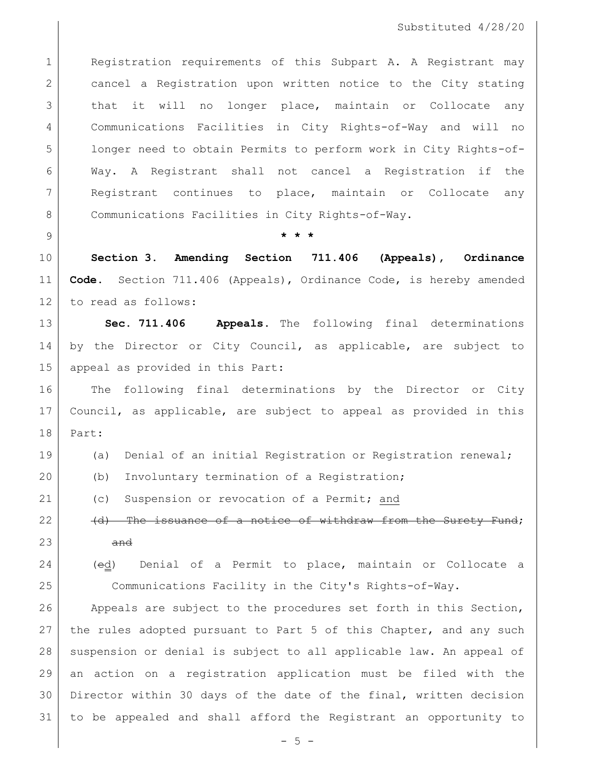1 Registration requirements of this Subpart A. A Registrant may 2 cancel a Registration upon written notice to the City stating that it will no longer place, maintain or Collocate any Communications Facilities in City Rights-of-Way and will no longer need to obtain Permits to perform work in City Rights-of- Way. A Registrant shall not cancel a Registration if the Registrant continues to place, maintain or Collocate any 8 Communications Facilities in City Rights-of-Way.

**\* \* \***

 **Section 3. Amending Section 711.406 (Appeals), Ordinance Code.** Section 711.406 (Appeals), Ordinance Code, is hereby amended to read as follows:

 **Sec. 711.406 Appeals.** The following final determinations by the Director or City Council, as applicable, are subject to appeal as provided in this Part:

 The following final determinations by the Director or City Council, as applicable, are subject to appeal as provided in this Part:

(a) Denial of an initial Registration or Registration renewal;

(b) Involuntary termination of a Registration;

21 (c) Suspension or revocation of a Permit; and

(d) The issuance of a notice of withdraw from the Surety Fund;

- and
- 

 (ed) Denial of a Permit to place, maintain or Collocate a Communications Facility in the City's Rights-of-Way.

26 Appeals are subject to the procedures set forth in this Section, 27 | the rules adopted pursuant to Part 5 of this Chapter, and any such 28 | suspension or denial is subject to all applicable law. An appeal of an action on a registration application must be filed with the Director within 30 days of the date of the final, written decision to be appealed and shall afford the Registrant an opportunity to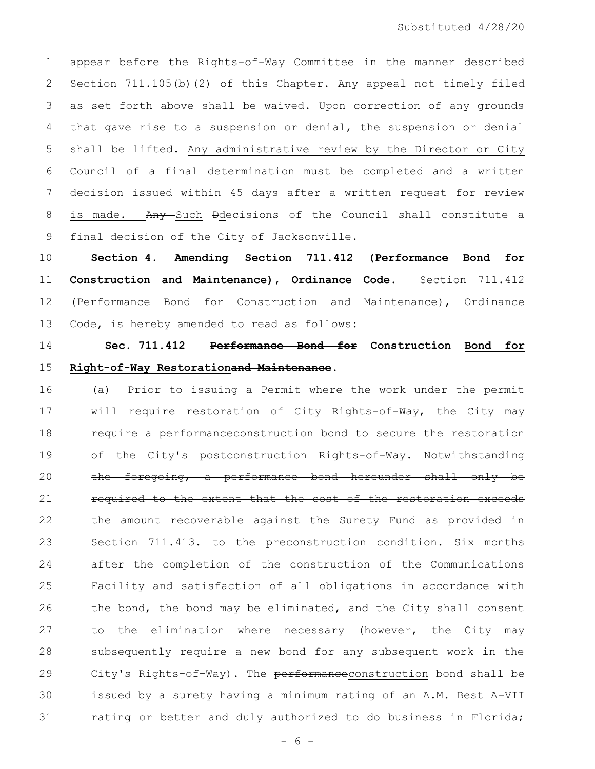1 appear before the Rights-of-Way Committee in the manner described 2 Section 711.105(b)(2) of this Chapter. Any appeal not timely filed 3 as set forth above shall be waived. Upon correction of any grounds 4 that gave rise to a suspension or denial, the suspension or denial 5 shall be lifted. Any administrative review by the Director or City 6 Council of a final determination must be completed and a written 7 decision issued within 45 days after a written request for review 8 is made. Any Such Ddecisions of the Council shall constitute a 9 final decision of the City of Jacksonville.

 **Section 4. Amending Section 711.412 (Performance Bond for Construction and Maintenance), Ordinance Code.** Section 711.412 (Performance Bond for Construction and Maintenance), Ordinance Code, is hereby amended to read as follows:

# 14 **Sec. 711.412 Performance Bond for Construction Bond for**  15 **Right-of-Way Restorationand Maintenance.**

16 (a) Prior to issuing a Permit where the work under the permit 17 will require restoration of City Rights-of-Way, the City may 18 require a performaneeconstruction bond to secure the restoration 19 of the City's postconstruction Rights-of-Way. Notwithstanding 20 the foregoing, a performance bond hereunder shall only be 21 **required to the extent that the cost of the restoration exceeds** 22 the amount recoverable against the Surety Fund as provided in 23 Section 711.413. to the preconstruction condition. Six months 24 after the completion of the construction of the Communications 25 Facility and satisfaction of all obligations in accordance with  $26$  the bond, the bond may be eliminated, and the City shall consent 27 to the elimination where necessary (however, the City may 28 subsequently require a new bond for any subsequent work in the 29 City's Rights-of-Way). The  $\frac{1}{2}$  performance construction bond shall be 30 issued by a surety having a minimum rating of an A.M. Best A-VII 31 rating or better and duly authorized to do business in Florida;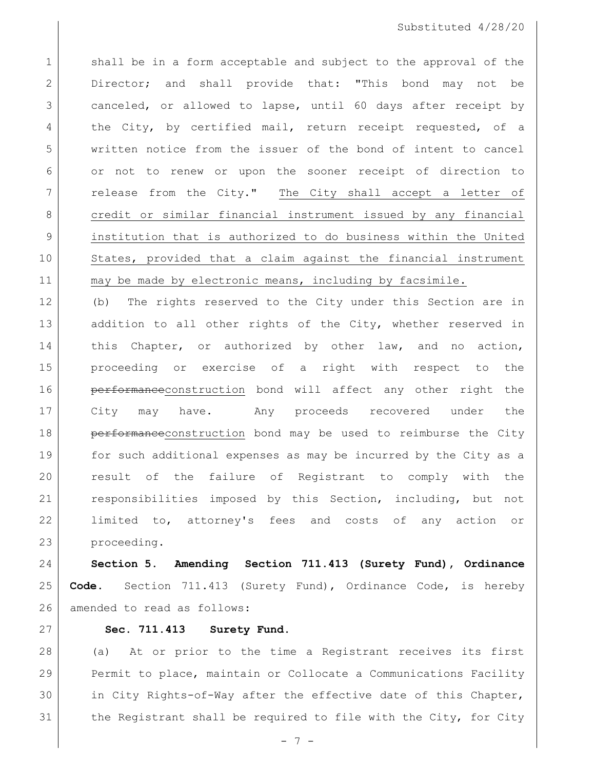1 shall be in a form acceptable and subject to the approval of the Director; and shall provide that: "This bond may not be canceled, or allowed to lapse, until 60 days after receipt by 4 the City, by certified mail, return receipt requested, of a written notice from the issuer of the bond of intent to cancel or not to renew or upon the sooner receipt of direction to 7 | release from the City." The City shall accept a letter of 8 credit or similar financial instrument issued by any financial institution that is authorized to do business within the United States, provided that a claim against the financial instrument 11 may be made by electronic means, including by facsimile.

 (b) The rights reserved to the City under this Section are in 13 addition to all other rights of the City, whether reserved in 14 this Chapter, or authorized by other law, and no action, proceeding or exercise of a right with respect to the **performance**construction bond will affect any other right the City may have. Any proceeds recovered under the 18 | performanceconstruction bond may be used to reimburse the City for such additional expenses as may be incurred by the City as a result of the failure of Registrant to comply with the responsibilities imposed by this Section, including, but not limited to, attorney's fees and costs of any action or proceeding.

 **Section 5. Amending Section 711.413 (Surety Fund), Ordinance Code.** Section 711.413 (Surety Fund), Ordinance Code, is hereby 26 amended to read as follows:

#### **Sec. 711.413 Surety Fund.**

 (a) At or prior to the time a Registrant receives its first Permit to place, maintain or Collocate a Communications Facility in City Rights-of-Way after the effective date of this Chapter, 31 the Registrant shall be required to file with the City, for City

- 7 -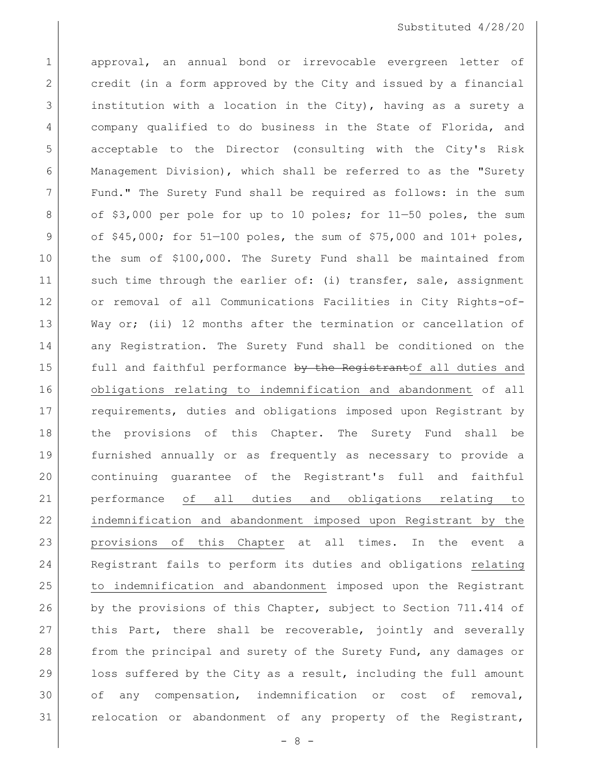1 approval, an annual bond or irrevocable evergreen letter of 2 credit (in a form approved by the City and issued by a financial 3 institution with a location in the City), having as a surety a 4 company qualified to do business in the State of Florida, and 5 acceptable to the Director (consulting with the City's Risk 6 Management Division), which shall be referred to as the "Surety 7 Fund." The Surety Fund shall be required as follows: in the sum 8 of \$3,000 per pole for up to 10 poles; for 11-50 poles, the sum 9 of  $$45,000;$  for  $51-100$  poles, the sum of  $$75,000$  and  $101+$  poles, 10 the sum of \$100,000. The Surety Fund shall be maintained from 11 such time through the earlier of: (i) transfer, sale, assignment 12 or removal of all Communications Facilities in City Rights-of-13 Way or; (ii) 12 months after the termination or cancellation of 14 any Registration. The Surety Fund shall be conditioned on the 15 full and faithful performance by the Registrantof all duties and 16 obligations relating to indemnification and abandonment of all 17 | requirements, duties and obligations imposed upon Registrant by 18 the provisions of this Chapter. The Surety Fund shall be 19 furnished annually or as frequently as necessary to provide a 20 continuing guarantee of the Registrant's full and faithful 21 performance of all duties and obligations relating to 22 indemnification and abandonment imposed upon Registrant by the 23 provisions of this Chapter at all times. In the event a 24 Registrant fails to perform its duties and obligations relating 25 to indemnification and abandonment imposed upon the Registrant 26 by the provisions of this Chapter, subject to Section 711.414 of 27 this Part, there shall be recoverable, jointly and severally 28 from the principal and surety of the Surety Fund, any damages or 29 loss suffered by the City as a result, including the full amount 30 of any compensation, indemnification or cost of removal, 31 relocation or abandonment of any property of the Registrant,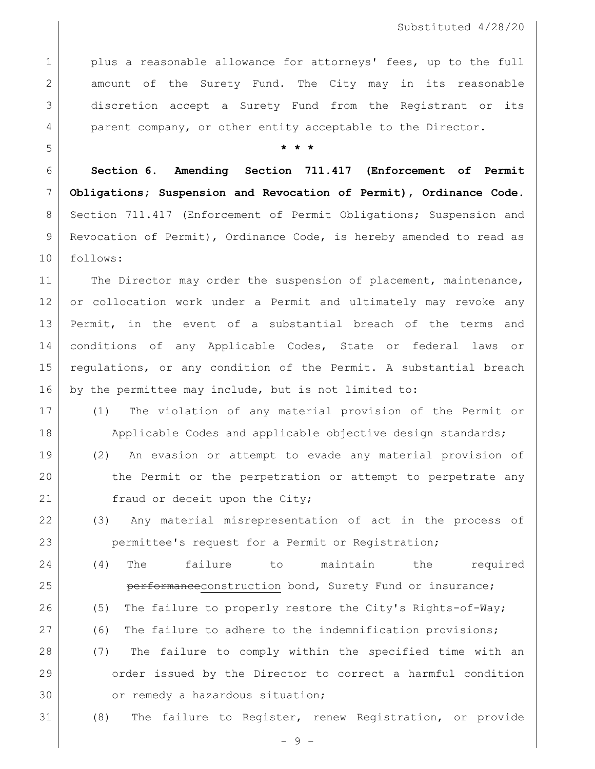1 plus a reasonable allowance for attorneys' fees, up to the full 2 amount of the Surety Fund. The City may in its reasonable 3 discretion accept a Surety Fund from the Registrant or its 4 parent company, or other entity acceptable to the Director.

### 5 **\* \* \***

6 **Section 6. Amending Section 711.417 (Enforcement of Permit**  7 **Obligations; Suspension and Revocation of Permit), Ordinance Code.**  8 Section 711.417 (Enforcement of Permit Obligations; Suspension and 9 Revocation of Permit), Ordinance Code, is hereby amended to read as 10 follows:

11 The Director may order the suspension of placement, maintenance, 12 or collocation work under a Permit and ultimately may revoke any 13 Permit, in the event of a substantial breach of the terms and 14 conditions of any Applicable Codes, State or federal laws or 15 | regulations, or any condition of the Permit. A substantial breach 16 by the permittee may include, but is not limited to:

- 17 (1) The violation of any material provision of the Permit or 18 Applicable Codes and applicable objective design standards; 19 (2) An evasion or attempt to evade any material provision of 20 the Permit or the perpetration or attempt to perpetrate any 21 fraud or deceit upon the City;
- 22 (3) Any material misrepresentation of act in the process of 23 permittee's request for a Permit or Registration;
- 24 (4) The failure to maintain the required 25 | erformanceconstruction bond, Surety Fund or insurance; 26 (5) The failure to properly restore the City's Rights-of-Way; 27 (6) The failure to adhere to the indemnification provisions; 28 (7) The failure to comply within the specified time with an 29 order issued by the Director to correct a harmful condition 30 or remedy a hazardous situation;
	-

31 (8) The failure to Register, renew Registration, or provide

- 9 -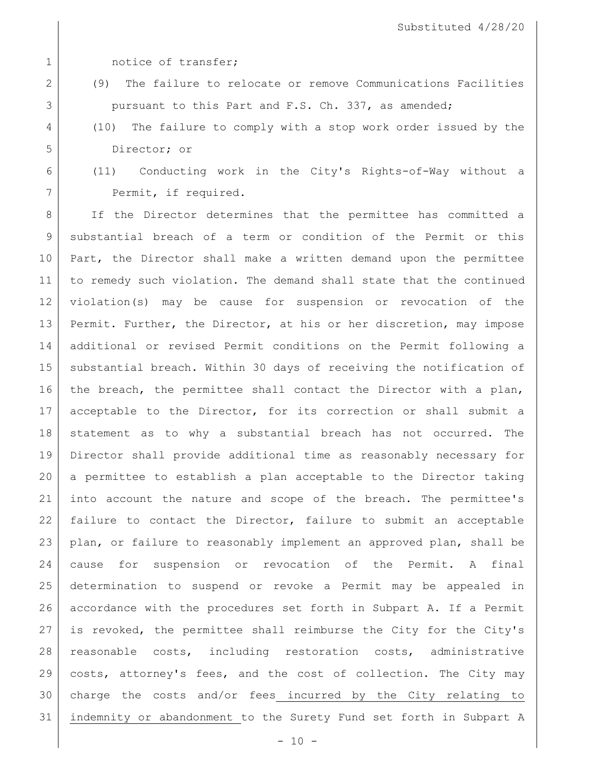1 1 notice of transfer;

- (9) The failure to relocate or remove Communications Facilities pursuant to this Part and F.S. Ch. 337, as amended;
- (10) The failure to comply with a stop work order issued by the Director; or
- (11) Conducting work in the City's Rights-of-Way without a 7 Permit, if required.

8 | If the Director determines that the permittee has committed a substantial breach of a term or condition of the Permit or this 10 Part, the Director shall make a written demand upon the permittee to remedy such violation. The demand shall state that the continued violation(s) may be cause for suspension or revocation of the Permit. Further, the Director, at his or her discretion, may impose additional or revised Permit conditions on the Permit following a substantial breach. Within 30 days of receiving the notification of 16 | the breach, the permittee shall contact the Director with a plan, acceptable to the Director, for its correction or shall submit a 18 statement as to why a substantial breach has not occurred. The Director shall provide additional time as reasonably necessary for a permittee to establish a plan acceptable to the Director taking into account the nature and scope of the breach. The permittee's failure to contact the Director, failure to submit an acceptable plan, or failure to reasonably implement an approved plan, shall be cause for suspension or revocation of the Permit. A final determination to suspend or revoke a Permit may be appealed in accordance with the procedures set forth in Subpart A. If a Permit is revoked, the permittee shall reimburse the City for the City's reasonable costs, including restoration costs, administrative costs, attorney's fees, and the cost of collection. The City may charge the costs and/or fees incurred by the City relating to indemnity or abandonment to the Surety Fund set forth in Subpart A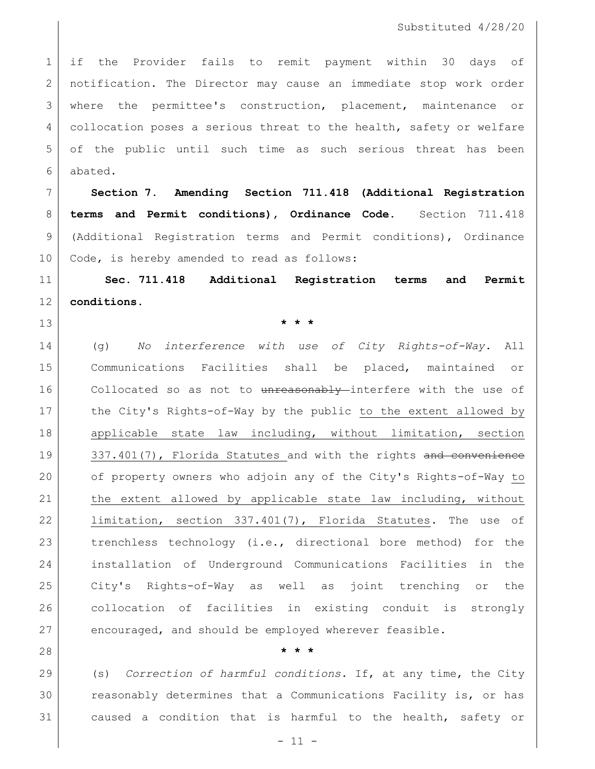if the Provider fails to remit payment within 30 days of notification. The Director may cause an immediate stop work order where the permittee's construction, placement, maintenance or 4 collocation poses a serious threat to the health, safety or welfare of the public until such time as such serious threat has been abated.

 **Section 7. Amending Section 711.418 (Additional Registration terms and Permit conditions), Ordinance Code.** Section 711.418 (Additional Registration terms and Permit conditions), Ordinance 10 | Code, is hereby amended to read as follows:

 **Sec. 711.418 Additional Registration terms and Permit conditions.**

**\* \* \***

 (g) *No interference with use of City Rights-of-Way.* All Communications Facilities shall be placed, maintained or 16 Collocated so as not to unreasonably interfere with the use of the City's Rights-of-Way by the public to the extent allowed by applicable state law including, without limitation, section 19 337.401(7), Florida Statutes and with the rights and convenience of property owners who adjoin any of the City's Rights-of-Way to 21 | the extent allowed by applicable state law including, without 22 limitation, section 337.401(7), Florida Statutes. The use of 23 | trenchless technology (i.e., directional bore method) for the installation of Underground Communications Facilities in the City's Rights-of-Way as well as joint trenching or the collocation of facilities in existing conduit is strongly encouraged, and should be employed wherever feasible.

## **\* \* \***

 (s) *Correction of harmful conditions.* If, at any time, the City reasonably determines that a Communications Facility is, or has caused a condition that is harmful to the health, safety or

- 11 -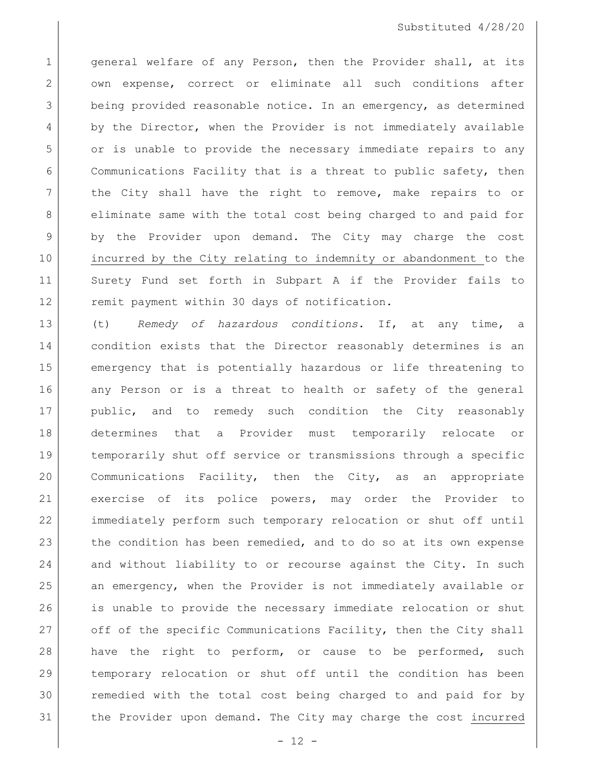1 general welfare of any Person, then the Provider shall, at its 2 own expense, correct or eliminate all such conditions after 3 being provided reasonable notice. In an emergency, as determined 4 by the Director, when the Provider is not immediately available 5 or is unable to provide the necessary immediate repairs to any 6 Communications Facility that is a threat to public safety, then 7 | the City shall have the right to remove, make repairs to or 8 eliminate same with the total cost being charged to and paid for 9 by the Provider upon demand. The City may charge the cost 10 incurred by the City relating to indemnity or abandonment to the 11 Surety Fund set forth in Subpart A if the Provider fails to 12 remit payment within 30 days of notification.

 (t) *Remedy of hazardous conditions.* If, at any time, a condition exists that the Director reasonably determines is an emergency that is potentially hazardous or life threatening to 16 any Person or is a threat to health or safety of the general public, and to remedy such condition the City reasonably determines that a Provider must temporarily relocate or temporarily shut off service or transmissions through a specific Communications Facility, then the City, as an appropriate exercise of its police powers, may order the Provider to immediately perform such temporary relocation or shut off until 23 the condition has been remedied, and to do so at its own expense and without liability to or recourse against the City. In such an emergency, when the Provider is not immediately available or is unable to provide the necessary immediate relocation or shut 27 off of the specific Communications Facility, then the City shall 28 have the right to perform, or cause to be performed, such temporary relocation or shut off until the condition has been remedied with the total cost being charged to and paid for by the Provider upon demand. The City may charge the cost incurred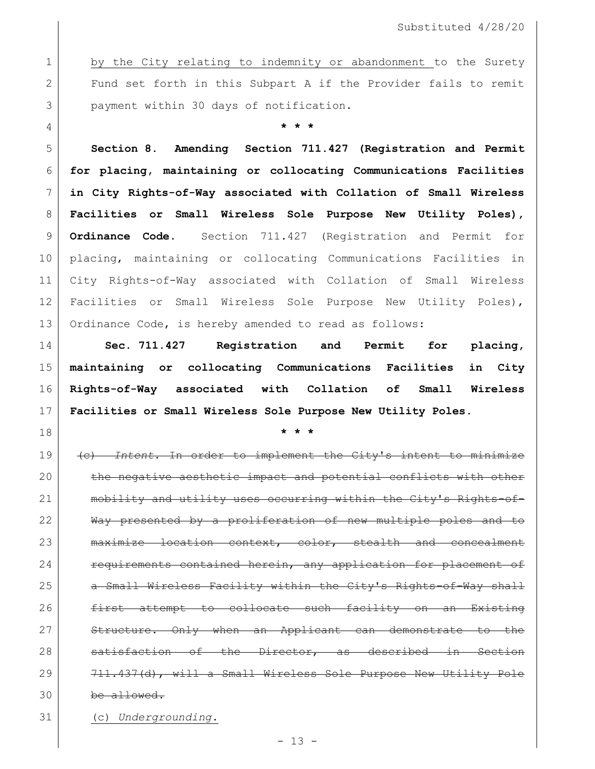1 by the City relating to indemnity or abandonment to the Surety 2 Fund set forth in this Subpart A if the Provider fails to remit 3 payment within 30 days of notification.

**\* \* \***

 **Section 8. Amending Section 711.427 (Registration and Permit for placing, maintaining or collocating Communications Facilities in City Rights-of-Way associated with Collation of Small Wireless Facilities or Small Wireless Sole Purpose New Utility Poles), Ordinance Code.** Section 711.427 (Registration and Permit for placing, maintaining or collocating Communications Facilities in City Rights-of-Way associated with Collation of Small Wireless Facilities or Small Wireless Sole Purpose New Utility Poles), Ordinance Code, is hereby amended to read as follows:

 **Sec. 711.427 Registration and Permit for placing, maintaining or collocating Communications Facilities in City Rights-of-Way associated with Collation of Small Wireless Facilities or Small Wireless Sole Purpose New Utility Poles.**

**\* \* \***

 (c) *Intent.* In order to implement the City's intent to minimize 20 the negative aesthetic impact and potential conflicts with other 21 mobility and utility uses occurring within the City's Rights-of- Way presented by a proliferation of new multiple poles and to maximize location context, color, stealth and concealment **requirements contained herein, any application for placement of** 25 | a Small Wireless Facility within the City's Rights-of-Way shall 26 first attempt to collocate such facility on an Existing Structure. Only when an Applicant can demonstrate to the 28 satisfaction of the Director, as described in Section 29 711.437(d), will a Small Wireless Sole Purpose New Utility Pole be allowed.

(c) *Undergrounding*.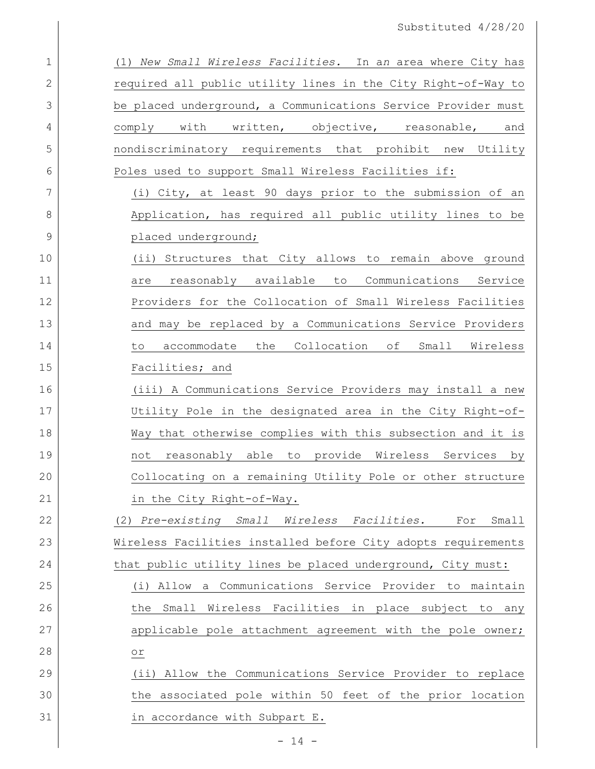| $\mathbf 1$  | (1) New Small Wireless Facilities. In an area where City has  |
|--------------|---------------------------------------------------------------|
| $\mathbf{2}$ | required all public utility lines in the City Right-of-Way to |
| 3            | be placed underground, a Communications Service Provider must |
| 4            | comply with written, objective, reasonable, and               |
| 5            | nondiscriminatory requirements that prohibit new Utility      |
| 6            | Poles used to support Small Wireless Facilities if:           |
| 7            | (i) City, at least 90 days prior to the submission of an      |
| 8            | Application, has required all public utility lines to be      |
| 9            | placed underground;                                           |
| 10           | (ii) Structures that City allows to remain above ground       |
| 11           | reasonably available to<br>Communications Service<br>are      |
| 12           | Providers for the Collocation of Small Wireless Facilities    |
| 13           | and may be replaced by a Communications Service Providers     |
| 14           | accommodate the Collocation of Small Wireless<br>to           |
| 15           | Facilities; and                                               |
| 16           | (iii) A Communications Service Providers may install a new    |
| 17           | Utility Pole in the designated area in the City Right-of-     |
| 18           | Way that otherwise complies with this subsection and it is    |
| 19           | not reasonably able to provide Wireless Services by           |
| 20           | Collocating on a remaining Utility Pole or other structure    |
| 21           | in the City Right-of-Way.                                     |
| 22           | (2) Pre-existing Small Wireless Facilities.<br>Small<br>For   |
| 23           | Wireless Facilities installed before City adopts requirements |
| 24           | that public utility lines be placed underground, City must:   |
| 25           | (i) Allow a Communications Service Provider to maintain       |
| 26           | Small Wireless Facilities in place subject to any<br>the      |
| 27           | applicable pole attachment agreement with the pole owner;     |
| 28           | $\circ$ r $\,$                                                |
| 29           | (ii) Allow the Communications Service Provider to replace     |
| 30           | the associated pole within 50 feet of the prior location      |
| 31           | in accordance with Subpart E.                                 |
|              | $-14 -$                                                       |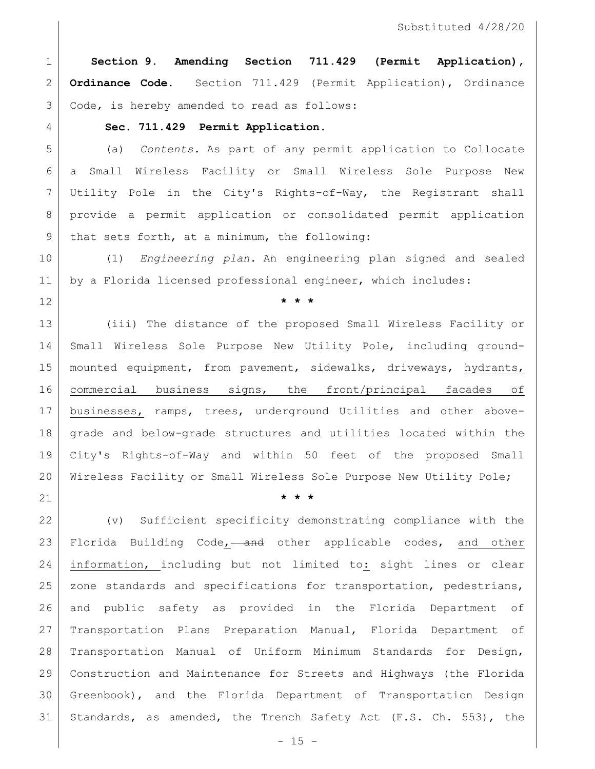**Section 9. Amending Section 711.429 (Permit Application), Ordinance Code.** Section 711.429 (Permit Application), Ordinance 3 Code, is hereby amended to read as follows:

#### **Sec. 711.429 Permit Application***.*

 (a) *Contents.* As part of any permit application to Collocate a Small Wireless Facility or Small Wireless Sole Purpose New Utility Pole in the City's Rights-of-Way, the Registrant shall provide a permit application or consolidated permit application 9 | that sets forth, at a minimum, the following:

 (1) *Engineering plan.* An engineering plan signed and sealed by a Florida licensed professional engineer, which includes:

**\* \* \***

 (iii) The distance of the proposed Small Wireless Facility or Small Wireless Sole Purpose New Utility Pole, including ground- mounted equipment, from pavement, sidewalks, driveways, hydrants, commercial business signs, the front/principal facades of businesses, ramps, trees, underground Utilities and other above- grade and below-grade structures and utilities located within the City's Rights-of-Way and within 50 feet of the proposed Small 20 | Wireless Facility or Small Wireless Sole Purpose New Utility Pole;

**\* \* \***

 (v) Sufficient specificity demonstrating compliance with the 23 Florida Building Code, and other applicable codes, and other information, including but not limited to: sight lines or clear 25 | zone standards and specifications for transportation, pedestrians, and public safety as provided in the Florida Department of Transportation Plans Preparation Manual, Florida Department of Transportation Manual of Uniform Minimum Standards for Design, Construction and Maintenance for Streets and Highways (the Florida Greenbook), and the Florida Department of Transportation Design Standards, as amended, the Trench Safety Act (F.S. Ch. 553), the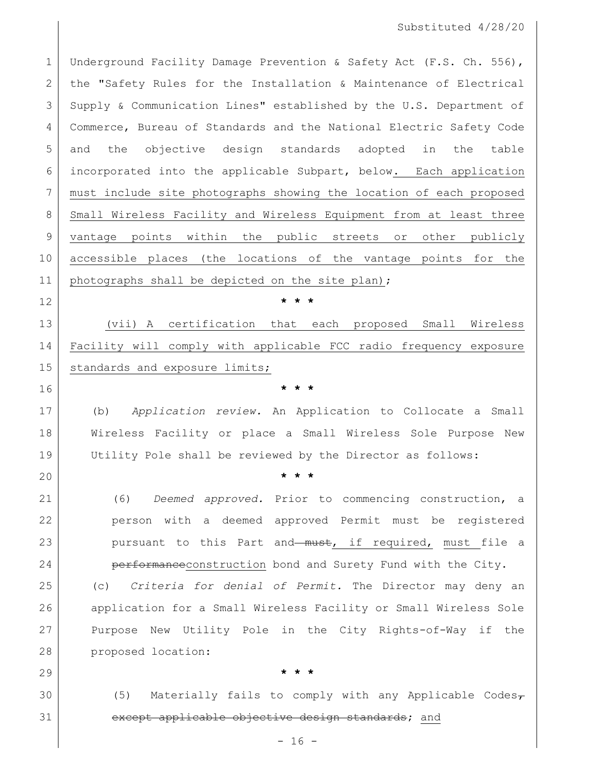1 Underground Facility Damage Prevention & Safety Act (F.S. Ch. 556), the "Safety Rules for the Installation & Maintenance of Electrical Supply & Communication Lines" established by the U.S. Department of Commerce, Bureau of Standards and the National Electric Safety Code and the objective design standards adopted in the table incorporated into the applicable Subpart, below. Each application must include site photographs showing the location of each proposed 8 Small Wireless Facility and Wireless Equipment from at least three vantage points within the public streets or other publicly accessible places (the locations of the vantage points for the 11 | photographs shall be depicted on the site plan);

**\* \* \***

 (vii) A certification that each proposed Small Wireless Facility will comply with applicable FCC radio frequency exposure 15 | standards and exposure limits;

 (b) *Application review.* An Application to Collocate a Small Wireless Facility or place a Small Wireless Sole Purpose New Utility Pole shall be reviewed by the Director as follows:

**\* \* \***

**\* \* \***

**\* \* \***

 (6) *Deemed approved.* Prior to commencing construction, a person with a deemed approved Permit must be registered 23 pursuant to this Part and must, if required, must file a **performance**construction bond and Surety Fund with the City.

 (c) *Criteria for denial of Permit.* The Director may deny an application for a Small Wireless Facility or Small Wireless Sole Purpose New Utility Pole in the City Rights-of-Way if the proposed location:

30 (5) Materially fails to comply with any Applicable Codes $_{\tau}$ 31 except applicable objective design standards; and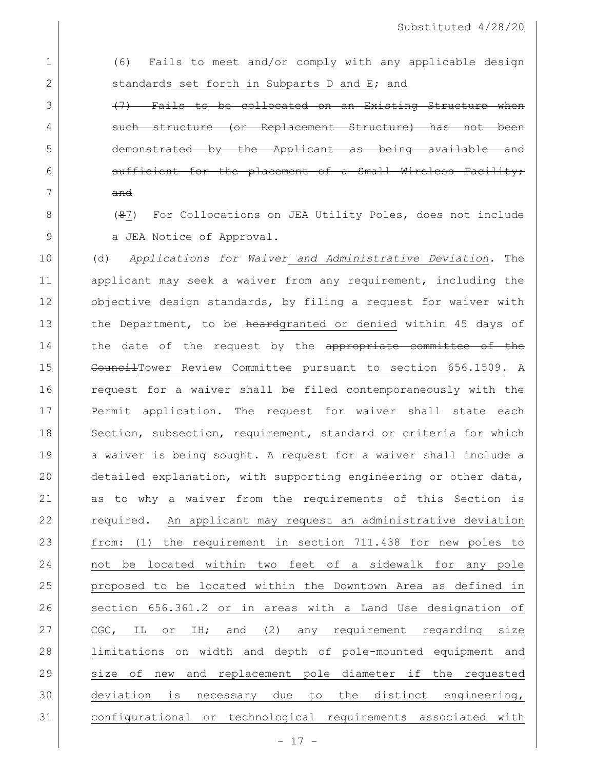1 (6) Fails to meet and/or comply with any applicable design 2 standards set forth in Subparts D and E; and

3 (47) Fails to be collocated on an Existing Structure when 4 such structure (or Replacement Structure) has not been 5 demonstrated by the Applicant as being available and  $6$  sufficient for the placement of a Small Wireless Facility; 7 and

8 (87) For Collocations on JEA Utility Poles, does not include 9 a JEA Notice of Approval.

 (d) *Applications for Waiver and Administrative Deviation.* The 11 applicant may seek a waiver from any requirement, including the 12 objective design standards, by filing a request for waiver with 13 the Department, to be heardgranted or denied within 45 days of 14 the date of the request by the appropriate committee of the 15 | CouncilTower Review Committee pursuant to section 656.1509. A request for a waiver shall be filed contemporaneously with the Permit application. The request for waiver shall state each 18 Section, subsection, requirement, standard or criteria for which 19 a waiver is being sought. A request for a waiver shall include a detailed explanation, with supporting engineering or other data, as to why a waiver from the requirements of this Section is required. An applicant may request an administrative deviation from: (1) the requirement in section 711.438 for new poles to not be located within two feet of a sidewalk for any pole proposed to be located within the Downtown Area as defined in section 656.361.2 or in areas with a Land Use designation of 27 | CGC, IL or IH; and (2) any requirement regarding size limitations on width and depth of pole-mounted equipment and size of new and replacement pole diameter if the requested deviation is necessary due to the distinct engineering, configurational or technological requirements associated with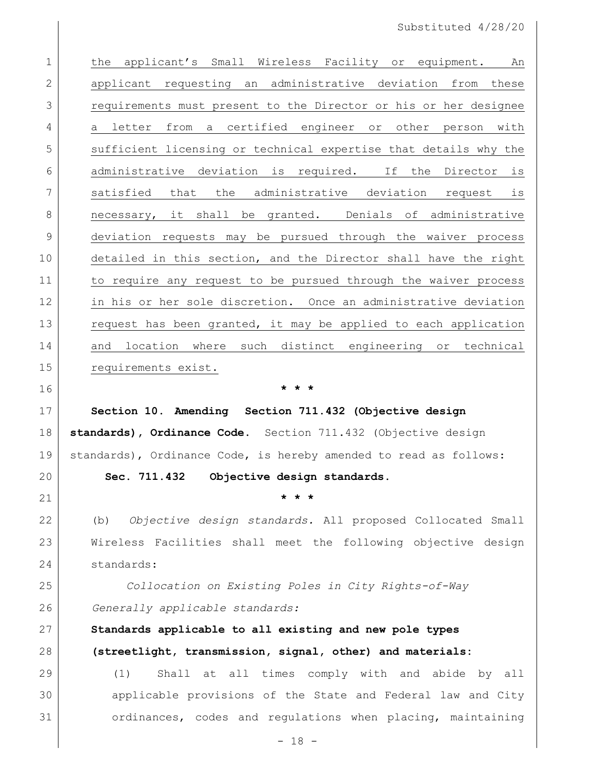| $\mathbf 1$    | applicant's Small Wireless Facility or equipment.<br>the<br>An    |
|----------------|-------------------------------------------------------------------|
| $\mathbf{2}$   | applicant requesting an administrative deviation from these       |
| 3              | requirements must present to the Director or his or her designee  |
| 4              | a letter from a certified engineer or other person with           |
| 5              | sufficient licensing or technical expertise that details why the  |
| 6              | administrative deviation is required. If the Director is          |
| 7              | satisfied that the administrative deviation request is            |
| 8              | necessary, it shall be granted. Denials of administrative         |
| 9              | deviation requests may be pursued through the waiver process      |
| 10             | detailed in this section, and the Director shall have the right   |
| 11             | to require any request to be pursued through the waiver process   |
| 12             | in his or her sole discretion. Once an administrative deviation   |
| 13             | request has been granted, it may be applied to each application   |
| 14             | and location where such distinct engineering or technical         |
| 15             | requirements exist.                                               |
|                |                                                                   |
| 16             | * * *                                                             |
| 17             | Section 10. Amending Section 711.432 (Objective design            |
| 18             | standards), Ordinance Code. Section 711.432 (Objective design     |
| 19             | standards), Ordinance Code, is hereby amended to read as follows: |
| 20             | Sec. 711.432<br>Objective design standards.                       |
| 21             |                                                                   |
| 22             | Objective design standards. All proposed Collocated Small<br>(b)  |
| 23             | Wireless Facilities shall meet the following objective design     |
| 24             | standards:                                                        |
| 25             | Collocation on Existing Poles in City Rights-of-Way               |
|                | Generally applicable standards:                                   |
|                | Standards applicable to all existing and new pole types           |
| 26<br>27<br>28 | (streetlight, transmission, signal, other) and materials:         |
| 29             | Shall at all times comply with and abide<br>(1)<br>by all         |
| 30             | applicable provisions of the State and Federal law and City       |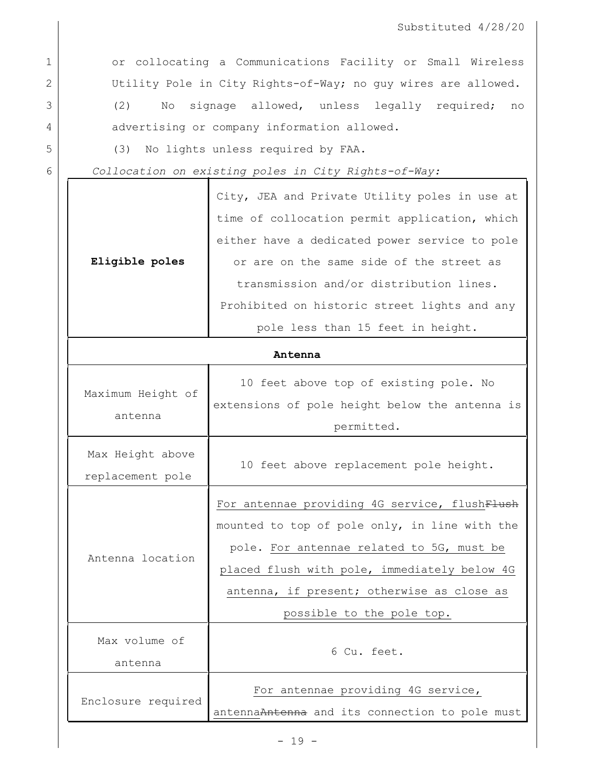٦

1 or collocating a Communications Facility or Small Wireless 2 Utility Pole in City Rights-of-Way; no guy wires are allowed.

3 (2) No signage allowed, unless legally required; no 4 advertising or company information allowed.

5 (3) No lights unless required by FAA.

6 *Collocation on existing poles in City Rights-of-Way:*

|                    | City, JEA and Private Utility poles in use at  |
|--------------------|------------------------------------------------|
|                    | time of collocation permit application, which  |
|                    | either have a dedicated power service to pole  |
| Eligible poles     | or are on the same side of the street as       |
|                    | transmission and/or distribution lines.        |
|                    | Prohibited on historic street lights and any   |
|                    | pole less than 15 feet in height.              |
|                    | Antenna                                        |
|                    | 10 feet above top of existing pole. No         |
| Maximum Height of  | extensions of pole height below the antenna is |
| antenna            | permitted.                                     |
| Max Height above   |                                                |
| replacement pole   | 10 feet above replacement pole height.         |
|                    | For antennae providing 4G service, flushFlush  |
|                    | mounted to top of pole only, in line with the  |
|                    | pole. For antennae related to 5G, must be      |
| Antenna location   | placed flush with pole, immediately below 4G   |
|                    | antenna, if present; otherwise as close as     |
|                    | possible to the pole top.                      |
| Max volume of      |                                                |
| antenna            | 6 Cu. feet.                                    |
| Enclosure required | For antennae providing 4G service,             |

antennaAntenna and its connection to pole must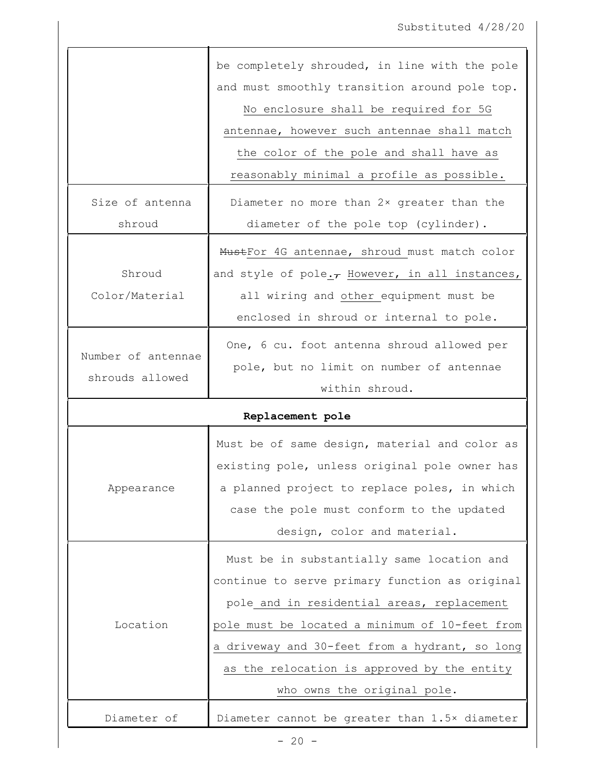|                    | be completely shrouded, in line with the pole        |
|--------------------|------------------------------------------------------|
|                    | and must smoothly transition around pole top.        |
|                    | No enclosure shall be required for 5G                |
|                    | antennae, however such antennae shall match          |
|                    | the color of the pole and shall have as              |
|                    | reasonably minimal a profile as possible.            |
| Size of antenna    | Diameter no more than 2x greater than the            |
| shroud             | diameter of the pole top (cylinder).                 |
|                    | MustFor 4G antennae, shroud must match color         |
| Shroud             | and style of pole. $\tau$ However, in all instances, |
| Color/Material     |                                                      |
|                    | all wiring and other equipment must be               |
|                    | enclosed in shroud or internal to pole.              |
| Number of antennae | One, 6 cu. foot antenna shroud allowed per           |
| shrouds allowed    | pole, but no limit on number of antennae             |
|                    | within shroud.                                       |
|                    | Replacement pole                                     |
|                    | Must be of same design, material and color as        |
|                    | existing pole, unless original pole owner has        |
| Appearance         | a planned project to replace poles, in which         |
|                    | case the pole must conform to the updated            |
|                    | design, color and material.                          |
|                    |                                                      |
|                    | Must be in substantially same location and           |
|                    | continue to serve primary function as original       |
|                    | pole and in residential areas, replacement           |
| Location           | pole must be located a minimum of 10-feet from       |
|                    | a driveway and 30-feet from a hydrant, so long       |
|                    | as the relocation is approved by the entity          |
|                    | who owns the original pole.                          |
| Diameter of        | Diameter cannot be greater than 1.5x diameter        |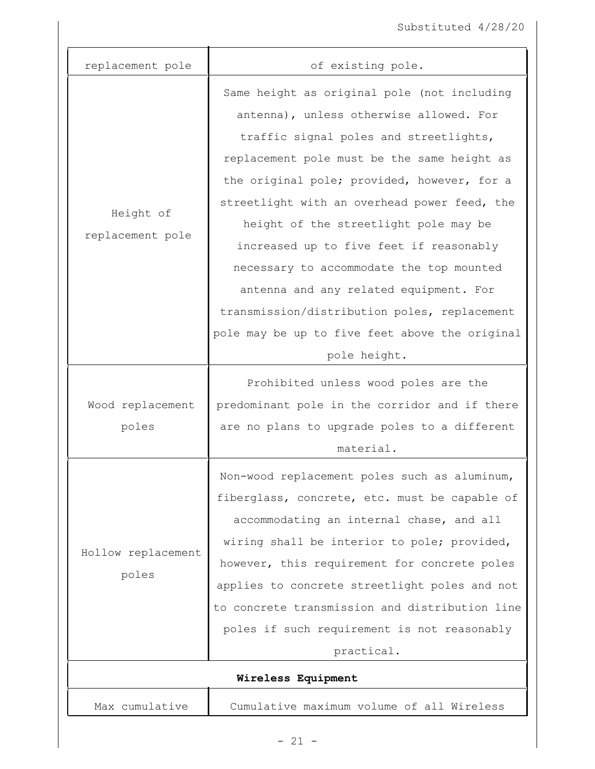| replacement pole              | of existing pole.                                                                                                                                                                                                                                                                                                                                                                                                                                                                                                                                                          |
|-------------------------------|----------------------------------------------------------------------------------------------------------------------------------------------------------------------------------------------------------------------------------------------------------------------------------------------------------------------------------------------------------------------------------------------------------------------------------------------------------------------------------------------------------------------------------------------------------------------------|
| Height of<br>replacement pole | Same height as original pole (not including<br>antenna), unless otherwise allowed. For<br>traffic signal poles and streetlights,<br>replacement pole must be the same height as<br>the original pole; provided, however, for a<br>streetlight with an overhead power feed, the<br>height of the streetlight pole may be<br>increased up to five feet if reasonably<br>necessary to accommodate the top mounted<br>antenna and any related equipment. For<br>transmission/distribution poles, replacement<br>pole may be up to five feet above the original<br>pole height. |
| Wood replacement<br>poles     | Prohibited unless wood poles are the<br>predominant pole in the corridor and if there<br>are no plans to upgrade poles to a different<br>material.                                                                                                                                                                                                                                                                                                                                                                                                                         |
| Hollow replacement<br>poles   | Non-wood replacement poles such as aluminum,<br>fiberglass, concrete, etc. must be capable of<br>accommodating an internal chase, and all<br>wiring shall be interior to pole; provided,<br>however, this requirement for concrete poles<br>applies to concrete streetlight poles and not<br>to concrete transmission and distribution line<br>poles if such requirement is not reasonably<br>practical.                                                                                                                                                                   |
|                               | Wireless Equipment                                                                                                                                                                                                                                                                                                                                                                                                                                                                                                                                                         |
| Max cumulative                | Cumulative maximum volume of all Wireless                                                                                                                                                                                                                                                                                                                                                                                                                                                                                                                                  |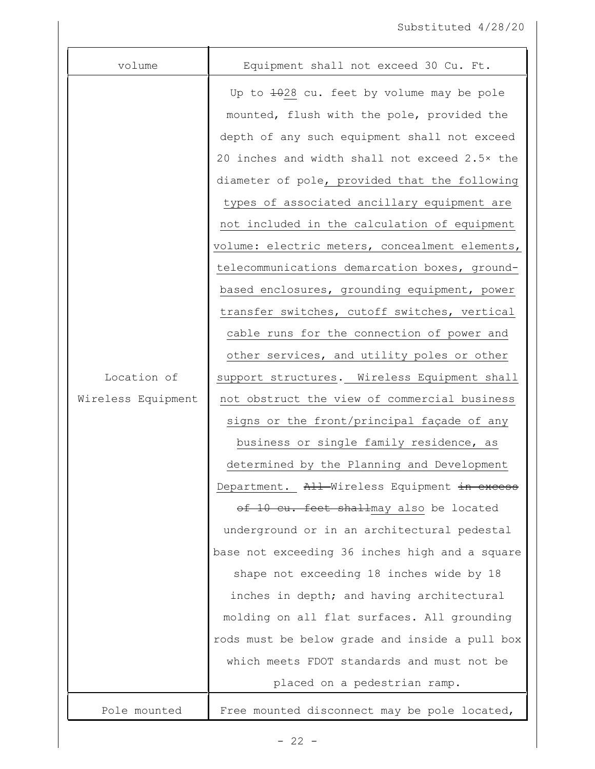| volume             | Equipment shall not exceed 30 Cu. Ft.          |
|--------------------|------------------------------------------------|
|                    | Up to 1028 cu. feet by volume may be pole      |
|                    | mounted, flush with the pole, provided the     |
|                    | depth of any such equipment shall not exceed   |
|                    | 20 inches and width shall not exceed 2.5x the  |
|                    | diameter of pole, provided that the following  |
|                    | types of associated ancillary equipment are    |
|                    | not included in the calculation of equipment   |
|                    | volume: electric meters, concealment elements, |
|                    | telecommunications demarcation boxes, ground-  |
|                    | based enclosures, grounding equipment, power   |
|                    | transfer switches, cutoff switches, vertical   |
|                    | cable runs for the connection of power and     |
|                    | other services, and utility poles or other     |
| Location of        | support structures. Wireless Equipment shall   |
| Wireless Equipment | not obstruct the view of commercial business   |
|                    | signs or the front/principal façade of any     |
|                    | business or single family residence, as        |
|                    | determined by the Planning and Development     |
|                    | Department. All-Wireless Equipment in excess   |
|                    | of 10 cu. feet shallmay also be located        |
|                    | underground or in an architectural pedestal    |
|                    | base not exceeding 36 inches high and a square |
|                    | shape not exceeding 18 inches wide by 18       |
|                    | inches in depth; and having architectural      |
|                    | molding on all flat surfaces. All grounding    |
|                    | rods must be below grade and inside a pull box |
|                    | which meets FDOT standards and must not be     |
|                    | placed on a pedestrian ramp.                   |
| Pole mounted       | Free mounted disconnect may be pole located,   |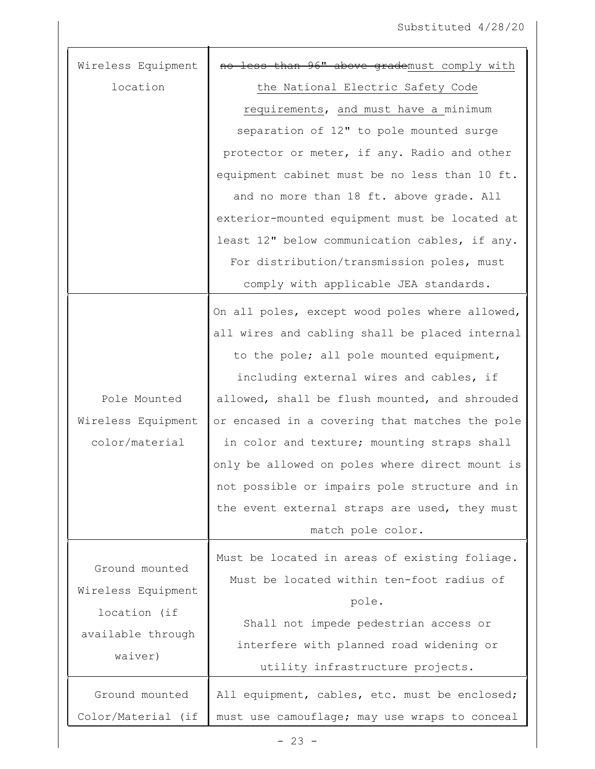| Wireless Equipment | less than 96" above grademust comply with      |
|--------------------|------------------------------------------------|
| location           | the National Electric Safety Code              |
|                    | requirements, and must have a minimum          |
|                    | separation of 12" to pole mounted surge        |
|                    | protector or meter, if any. Radio and other    |
|                    | equipment cabinet must be no less than 10 ft.  |
|                    | and no more than 18 ft. above grade. All       |
|                    | exterior-mounted equipment must be located at  |
|                    | least 12" below communication cables, if any.  |
|                    | For distribution/transmission poles, must      |
|                    | comply with applicable JEA standards.          |
|                    | On all poles, except wood poles where allowed, |
|                    | all wires and cabling shall be placed internal |
|                    | to the pole; all pole mounted equipment,       |
|                    | including external wires and cables, if        |
| Pole Mounted       | allowed, shall be flush mounted, and shrouded  |
| Wireless Equipment | or encased in a covering that matches the pole |
| color/material     | in color and texture; mounting straps shall    |
|                    | only be allowed on poles where direct mount is |
|                    | not possible or impairs pole structure and in  |
|                    | the event external straps are used, they must  |
|                    | match pole color.                              |
|                    | Must be located in areas of existing foliage.  |
| Ground mounted     | Must be located within ten-foot radius of      |
| Wireless Equipment | pole.                                          |
| location (if       | Shall not impede pedestrian access or          |
| available through  | interfere with planned road widening or        |
| waiver)            | utility infrastructure projects.               |
|                    |                                                |
| Ground mounted     | All equipment, cables, etc. must be enclosed;  |
| Color/Material (if | must use camouflage; may use wraps to conceal  |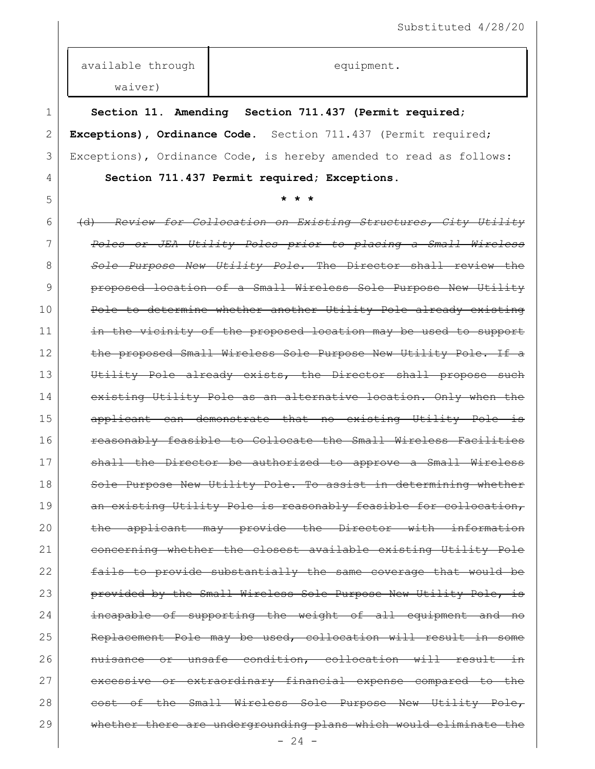equipment.

available through

waiver) 1 **Section 11. Amending Section 711.437 (Permit required;**  2 **Exceptions), Ordinance Code.** Section 711.437 (Permit required; 3 Exceptions), Ordinance Code, is hereby amended to read as follows: 4 **Section 711.437 Permit required; Exceptions.**  5 **\* \* \*** 6 (d) *Review for Collocation on Existing Structures, City Utility*  7 *Poles or JEA Utility Poles prior to placing a Small Wireless*  8 *Sole Purpose New Utility Pole.* The Director shall review the 9 **proposed location of a Small Wireless Sole Purpose New Utility** 10 Pole to determine whether another Utility Pole already existing 11 in the vicinity of the proposed location may be used to support 12 the proposed Small Wireless Sole Purpose New Utility Pole. If a 13 Utility Pole already exists, the Director shall propose such 14 existing Utility Pole as an alternative location. Only when the 15 applicant can demonstrate that no existing Utility Pole is 16 **reasonably feasible to Collocate the Small Wireless Facilities** 17 shall the Director be authorized to approve a Small Wireless 18 | Sole Purpose New Utility Pole. To assist in determining whether 19 | an existing Utility Pole is reasonably feasible for collocation, 20 the applicant may provide the Director with information 21 concerning whether the closest available existing Utility Pole 22 fails to provide substantially the same coverage that would be 23 **provided by the Small Wireless Sole Purpose New Utility Pole, is** 24 incapable of supporting the weight of all equipment and 25 Replacement Pole may be used, collocation will result in some 26 nuisance or unsafe condition, collocation will result in 27 excessive or extraordinary financial expense compared to the 28 cost of the Small Wireless Sole Purpose New Utility Pole, 29 whether there are undergrounding plans which would eliminate the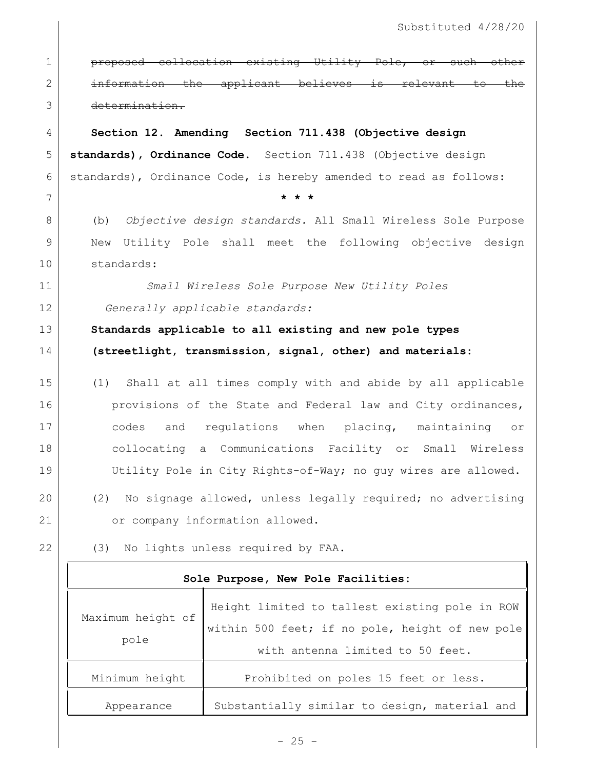**proposed collocation existing Utility Pole, or such other** 2 information the applicant believes is relevant to the determination. **Section 12. Amending Section 711.438 (Objective design standards), Ordinance Code.** Section 711.438 (Objective design 6 standards), Ordinance Code, is hereby amended to read as follows: 7 **\* \* \*** (b) *Objective design standards.* All Small Wireless Sole Purpose New Utility Pole shall meet the following objective design standards: *Small Wireless Sole Purpose New Utility Poles Generally applicable standards:* **Standards applicable to all existing and new pole types (streetlight, transmission, signal, other) and materials:** (1) Shall at all times comply with and abide by all applicable **provisions of the State and Federal law and City ordinances,**  codes and regulations when placing, maintaining or collocating a Communications Facility or Small Wireless Utility Pole in City Rights-of-Way; no guy wires are allowed. (2) No signage allowed, unless legally required; no advertising 21 or company information allowed. (3) No lights unless required by FAA. **Sole Purpose, New Pole Facilities:**

| Maximum height of<br>pole | Height limited to tallest existing pole in ROW<br>within 500 feet; if no pole, height of new pole<br>with antenna limited to 50 feet. |
|---------------------------|---------------------------------------------------------------------------------------------------------------------------------------|
| Minimum height            | Prohibited on poles 15 feet or less.                                                                                                  |
| Appearance                | Substantially similar to design, material and                                                                                         |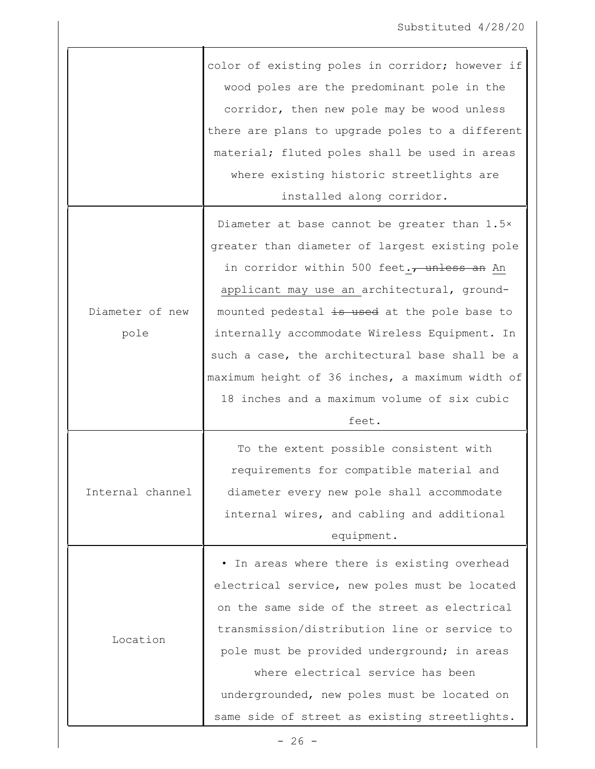|                  | color of existing poles in corridor; however if<br>wood poles are the predominant pole in the<br>corridor, then new pole may be wood unless<br>there are plans to upgrade poles to a different |
|------------------|------------------------------------------------------------------------------------------------------------------------------------------------------------------------------------------------|
|                  | material; fluted poles shall be used in areas                                                                                                                                                  |
|                  | where existing historic streetlights are                                                                                                                                                       |
|                  | installed along corridor.                                                                                                                                                                      |
|                  | Diameter at base cannot be greater than 1.5x                                                                                                                                                   |
|                  | greater than diameter of largest existing pole                                                                                                                                                 |
|                  | in corridor within 500 feet., unless an An                                                                                                                                                     |
|                  | applicant may use an architectural, ground-                                                                                                                                                    |
| Diameter of new  | mounted pedestal is used at the pole base to                                                                                                                                                   |
| pole             | internally accommodate Wireless Equipment. In                                                                                                                                                  |
|                  | such a case, the architectural base shall be a                                                                                                                                                 |
|                  | maximum height of 36 inches, a maximum width of                                                                                                                                                |
|                  | 18 inches and a maximum volume of six cubic                                                                                                                                                    |
|                  | feet.                                                                                                                                                                                          |
|                  | To the extent possible consistent with                                                                                                                                                         |
|                  | requirements for compatible material and                                                                                                                                                       |
| Internal channel | diameter every new pole shall accommodate                                                                                                                                                      |
|                  | internal wires, and cabling and additional                                                                                                                                                     |
|                  | equipment.                                                                                                                                                                                     |
|                  | In areas where there is existing overhead                                                                                                                                                      |
|                  | electrical service, new poles must be located                                                                                                                                                  |
|                  | on the same side of the street as electrical                                                                                                                                                   |
| Location         | transmission/distribution line or service to                                                                                                                                                   |
|                  | pole must be provided underground; in areas                                                                                                                                                    |
|                  | where electrical service has been                                                                                                                                                              |
|                  | undergrounded, new poles must be located on                                                                                                                                                    |
|                  | same side of street as existing streetlights.                                                                                                                                                  |
|                  |                                                                                                                                                                                                |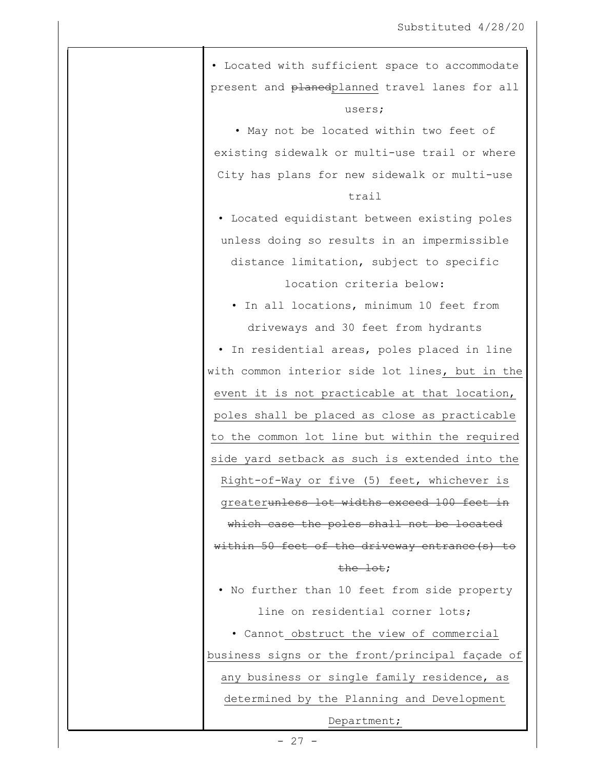• Located with sufficient space to accommodate present and planedplanned travel lanes for all users; • May not be located within two feet of existing sidewalk or multi-use trail or where City has plans for new sidewalk or multi-use trail • Located equidistant between existing poles unless doing so results in an impermissible distance limitation, subject to specific location criteria below: • In all locations, minimum 10 feet from driveways and 30 feet from hydrants • In residential areas, poles placed in line with common interior side lot lines, but in the event it is not practicable at that location, poles shall be placed as close as practicable to the common lot line but within the required side yard setback as such is extended into the Right-of-Way or five (5) feet, whichever is greaterunless lot widths exceed 100 feet in which case the poles shall not be located within 50 feet of the driveway entrance (s) to the lot; • No further than 10 feet from side property line on residential corner lots; • Cannot obstruct the view of commercial business signs or the front/principal façade of any business or single family residence, as determined by the Planning and Development Department;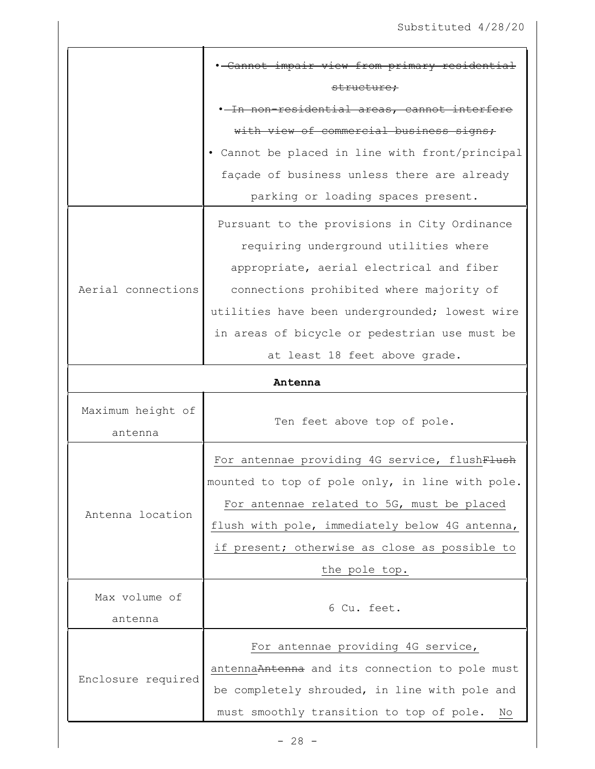|                    | . Cannot impair view from primary residential   |
|--------------------|-------------------------------------------------|
|                    | structure;                                      |
|                    | . In non-residential areas, cannot interfere    |
|                    | with view of commercial business signs;         |
|                    | • Cannot be placed in line with front/principal |
|                    | façade of business unless there are already     |
|                    | parking or loading spaces present.              |
|                    | Pursuant to the provisions in City Ordinance    |
|                    | requiring underground utilities where           |
|                    | appropriate, aerial electrical and fiber        |
| Aerial connections | connections prohibited where majority of        |
|                    | utilities have been undergrounded; lowest wire  |
|                    | in areas of bicycle or pedestrian use must be   |
|                    | at least 18 feet above grade.                   |
| Antenna            |                                                 |
| Maximum height of  |                                                 |
| antenna            | Ten feet above top of pole.                     |
|                    | For antennae providing 4G service, flushFlush   |
|                    | mounted to top of pole only, in line with pole  |
|                    | For antennae related to 5G, must be placed      |
| Antenna location   | flush with pole, immediately below 4G antenna,  |
|                    | if present; otherwise as close as possible to   |
|                    | the pole top.                                   |
| Max volume of      |                                                 |
| antenna            | 6 Cu. feet.                                     |
|                    | For antennae providing 4G service,              |
|                    | antennaAntenna and its connection to pole must  |
| Enclosure required | be completely shrouded, in line with pole and   |
|                    | must smoothly transition to top of pole.<br>No  |
|                    |                                                 |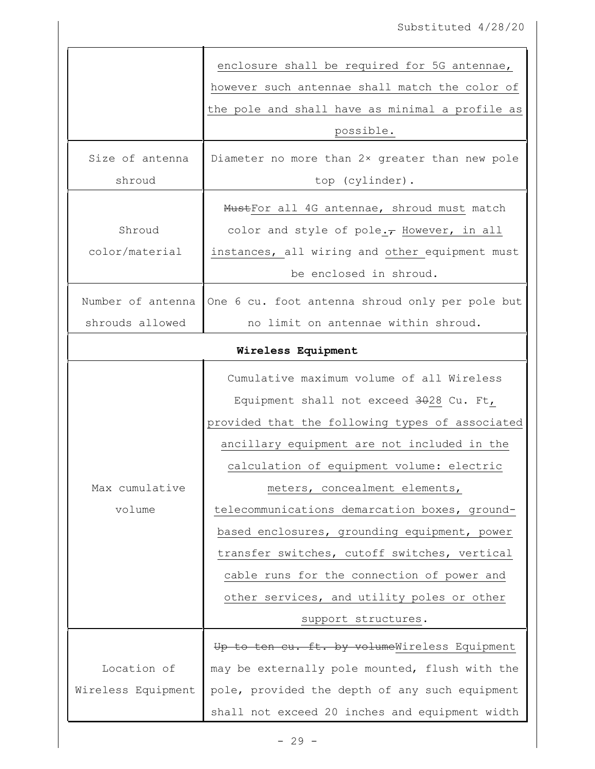|                    | enclosure shall be required for 5G antennae,    |
|--------------------|-------------------------------------------------|
|                    | however such antennae shall match the color of  |
|                    | the pole and shall have as minimal a profile as |
|                    | possible.                                       |
| Size of antenna    | Diameter no more than 2x greater than new pole  |
| shroud             | top (cylinder).                                 |
|                    | MustFor all 4G antennae, shroud must match      |
| Shroud             | color and style of pole. $\tau$ However, in all |
| color/material     | instances, all wiring and other equipment must  |
|                    | be enclosed in shroud.                          |
| Number of antenna  | One 6 cu. foot antenna shroud only per pole but |
| shrouds allowed    | no limit on antennae within shroud.             |
|                    | Wireless Equipment                              |
|                    | Cumulative maximum volume of all Wireless       |
|                    | Equipment shall not exceed 3028 Cu. Ft,         |
|                    | provided that the following types of associated |
|                    | ancillary equipment are not included in the     |
|                    | calculation of equipment volume: electric       |
| Max cumulative     | meters, concealment elements,                   |
| volume             | telecommunications demarcation boxes, ground-   |
|                    | based enclosures, grounding equipment, power    |
|                    | transfer switches, cutoff switches, vertical    |
|                    | cable runs for the connection of power and      |
|                    | other services, and utility poles or other      |
|                    | support structures.                             |
|                    | Up to ten cu. ft. by volumeWireless Equipment   |
| Location of        | may be externally pole mounted, flush with the  |
| Wireless Equipment | pole, provided the depth of any such equipment  |
|                    |                                                 |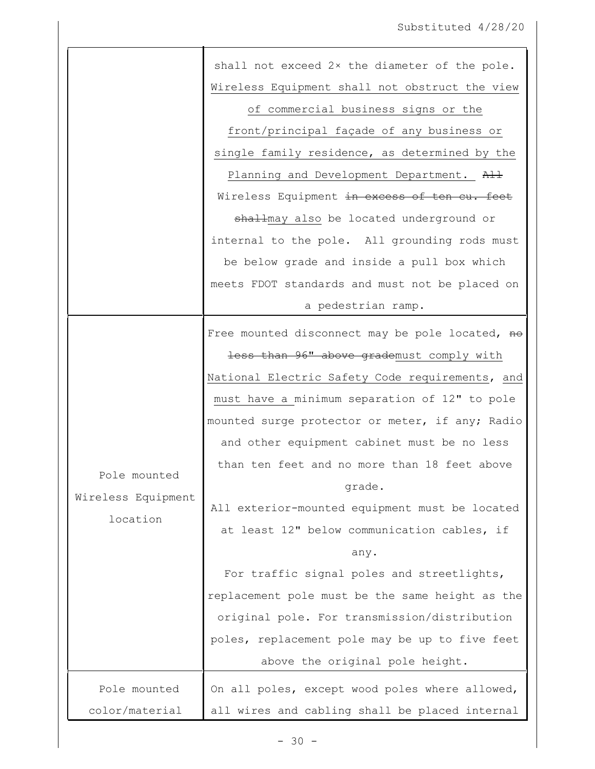|                    | shall not exceed 2x the diameter of the pole.   |
|--------------------|-------------------------------------------------|
|                    | Wireless Equipment shall not obstruct the view  |
|                    | of commercial business signs or the             |
|                    | front/principal façade of any business or       |
|                    | single family residence, as determined by the   |
|                    | Planning and Development Department. All        |
|                    | Wireless Equipment in excess of ten cu. feet    |
|                    | shallmay also be located underground or         |
|                    | internal to the pole. All grounding rods must   |
|                    | be below grade and inside a pull box which      |
|                    | meets FDOT standards and must not be placed on  |
|                    | a pedestrian ramp.                              |
|                    | Free mounted disconnect may be pole located, no |
|                    | less than 96" above grademust comply with       |
|                    | National Electric Safety Code requirements, and |
|                    | must have a minimum separation of 12" to pole   |
|                    | mounted surge protector or meter, if any; Radio |
|                    | and other equipment cabinet must be no less     |
|                    | than ten feet and no more than 18 feet above    |
| Pole mounted       | grade.                                          |
| Wireless Equipment | All exterior-mounted equipment must be located  |
| location           | at least 12" below communication cables, if     |
|                    | any.                                            |
|                    | For traffic signal poles and streetlights,      |
|                    | replacement pole must be the same height as the |
|                    | original pole. For transmission/distribution    |
|                    | poles, replacement pole may be up to five feet  |
|                    | above the original pole height.                 |
| Pole mounted       | On all poles, except wood poles where allowed,  |
| color/material     | all wires and cabling shall be placed internal  |
|                    |                                                 |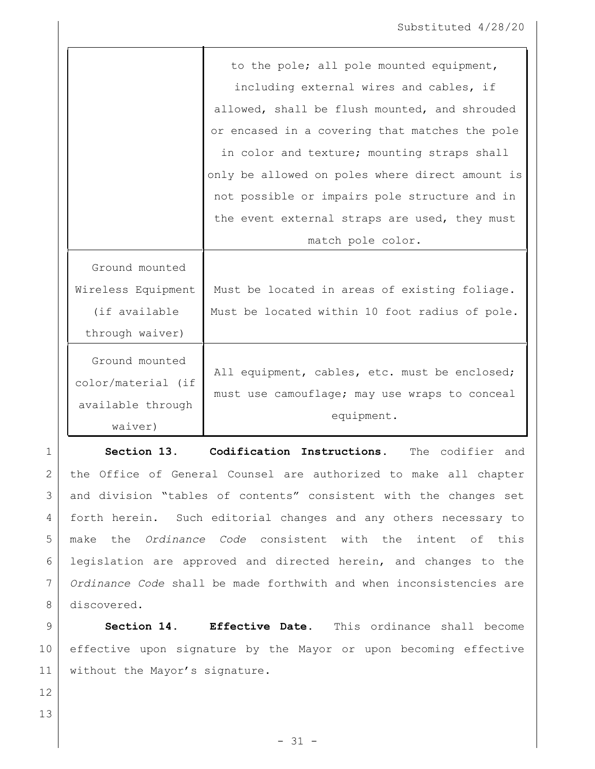|                                                                      | to the pole; all pole mounted equipment,                                                                     |
|----------------------------------------------------------------------|--------------------------------------------------------------------------------------------------------------|
|                                                                      | including external wires and cables, if                                                                      |
|                                                                      | allowed, shall be flush mounted, and shrouded                                                                |
|                                                                      | or encased in a covering that matches the pole                                                               |
|                                                                      | in color and texture; mounting straps shall                                                                  |
|                                                                      | only be allowed on poles where direct amount is                                                              |
|                                                                      | not possible or impairs pole structure and in                                                                |
|                                                                      | the event external straps are used, they must                                                                |
|                                                                      | match pole color.                                                                                            |
| Ground mounted                                                       |                                                                                                              |
| Wireless Equipment                                                   | Must be located in areas of existing foliage.                                                                |
| (if available                                                        | Must be located within 10 foot radius of pole.                                                               |
| through waiver)                                                      |                                                                                                              |
| Ground mounted<br>color/material (if<br>available through<br>waiver) | All equipment, cables, etc. must be enclosed;<br>must use camouflage; may use wraps to conceal<br>equipment. |

 **Section 13. Codification Instructions.** The codifier and 2 | the Office of General Counsel are authorized to make all chapter and division "tables of contents" consistent with the changes set forth herein. Such editorial changes and any others necessary to make the *Ordinance Code* consistent with the intent of this legislation are approved and directed herein, and changes to the *Ordinance Code* shall be made forthwith and when inconsistencies are 8 discovered.

9 **Section 14. Effective Date.** This ordinance shall become 10 effective upon signature by the Mayor or upon becoming effective 11 | without the Mayor's signature.

12

13

- 31 -